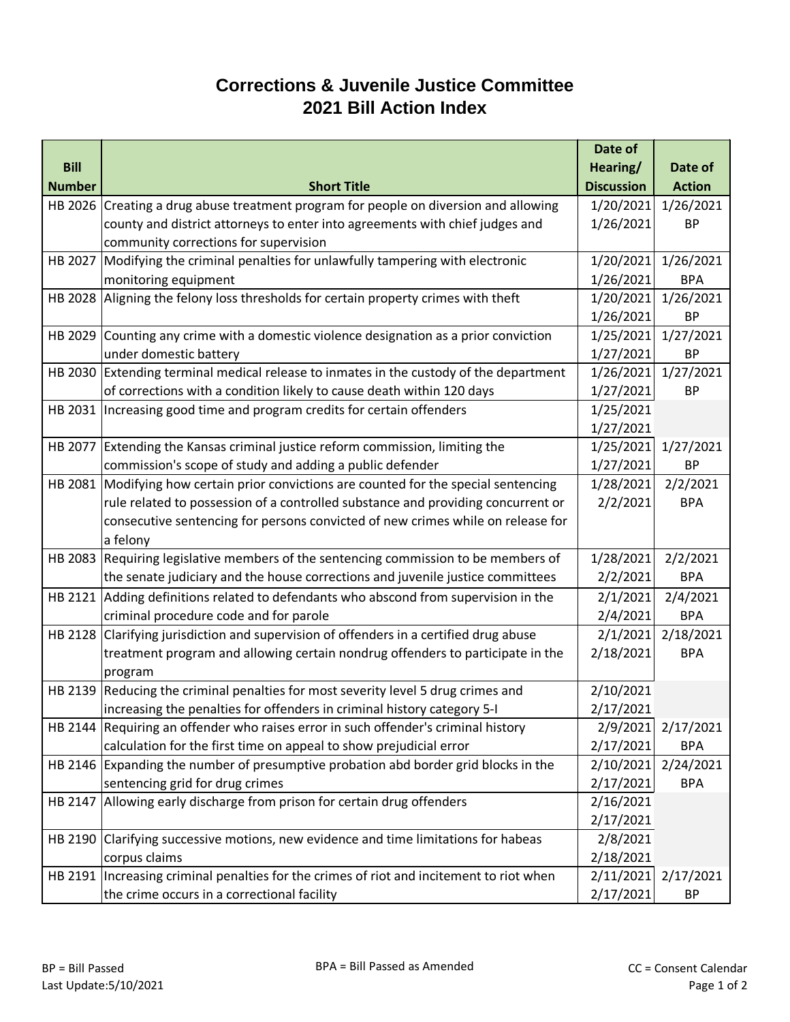## **Corrections & Juvenile Justice Committee 2021 Bill Action Index**

|               |                                                                                      | Date of           |               |
|---------------|--------------------------------------------------------------------------------------|-------------------|---------------|
| <b>Bill</b>   |                                                                                      | Hearing/          | Date of       |
| <b>Number</b> | <b>Short Title</b>                                                                   | <b>Discussion</b> | <b>Action</b> |
|               | HB 2026 Creating a drug abuse treatment program for people on diversion and allowing | 1/20/2021         | 1/26/2021     |
|               | county and district attorneys to enter into agreements with chief judges and         | 1/26/2021         | <b>BP</b>     |
|               | community corrections for supervision                                                |                   |               |
| HB 2027       | Modifying the criminal penalties for unlawfully tampering with electronic            | 1/20/2021         | 1/26/2021     |
|               | monitoring equipment                                                                 | 1/26/2021         | <b>BPA</b>    |
| HB 2028       | Aligning the felony loss thresholds for certain property crimes with theft           | 1/20/2021         | 1/26/2021     |
|               |                                                                                      | 1/26/2021         | <b>BP</b>     |
| HB 2029       | Counting any crime with a domestic violence designation as a prior conviction        | 1/25/2021         | 1/27/2021     |
|               | under domestic battery                                                               | 1/27/2021         | <b>BP</b>     |
| HB 2030       | Extending terminal medical release to inmates in the custody of the department       | 1/26/2021         | 1/27/2021     |
|               | of corrections with a condition likely to cause death within 120 days                | 1/27/2021         | <b>BP</b>     |
| HB 2031       | Increasing good time and program credits for certain offenders                       | 1/25/2021         |               |
|               |                                                                                      | 1/27/2021         |               |
| HB 2077       | Extending the Kansas criminal justice reform commission, limiting the                | 1/25/2021         | 1/27/2021     |
|               | commission's scope of study and adding a public defender                             | 1/27/2021         | <b>BP</b>     |
| HB 2081       | Modifying how certain prior convictions are counted for the special sentencing       | 1/28/2021         | 2/2/2021      |
|               | rule related to possession of a controlled substance and providing concurrent or     | 2/2/2021          | <b>BPA</b>    |
|               | consecutive sentencing for persons convicted of new crimes while on release for      |                   |               |
|               | a felony                                                                             |                   |               |
| HB 2083       | Requiring legislative members of the sentencing commission to be members of          | 1/28/2021         | 2/2/2021      |
|               | the senate judiciary and the house corrections and juvenile justice committees       | 2/2/2021          | <b>BPA</b>    |
| HB 2121       | Adding definitions related to defendants who abscond from supervision in the         | 2/1/2021          | 2/4/2021      |
|               | criminal procedure code and for parole                                               | 2/4/2021          | <b>BPA</b>    |
| HB 2128       | Clarifying jurisdiction and supervision of offenders in a certified drug abuse       | 2/1/2021          | 2/18/2021     |
|               | treatment program and allowing certain nondrug offenders to participate in the       | 2/18/2021         | <b>BPA</b>    |
|               | program                                                                              |                   |               |
| HB 2139       | Reducing the criminal penalties for most severity level 5 drug crimes and            | 2/10/2021         |               |
|               | increasing the penalties for offenders in criminal history category 5-I              | 2/17/2021         |               |
|               | HB 2144 Requiring an offender who raises error in such offender's criminal history   | 2/9/2021          | 2/17/2021     |
|               | calculation for the first time on appeal to show prejudicial error                   | 2/17/2021         | <b>BPA</b>    |
| HB 2146       | Expanding the number of presumptive probation abd border grid blocks in the          | 2/10/2021         | 2/24/2021     |
|               | sentencing grid for drug crimes                                                      | 2/17/2021         | <b>BPA</b>    |
| HB 2147       | Allowing early discharge from prison for certain drug offenders                      | 2/16/2021         |               |
|               |                                                                                      | 2/17/2021         |               |
| HB 2190       | Clarifying successive motions, new evidence and time limitations for habeas          | 2/8/2021          |               |
|               | corpus claims                                                                        | 2/18/2021         |               |
| HB 2191       | Increasing criminal penalties for the crimes of riot and incitement to riot when     | 2/11/2021         | 2/17/2021     |
|               | the crime occurs in a correctional facility                                          | 2/17/2021         | <b>BP</b>     |